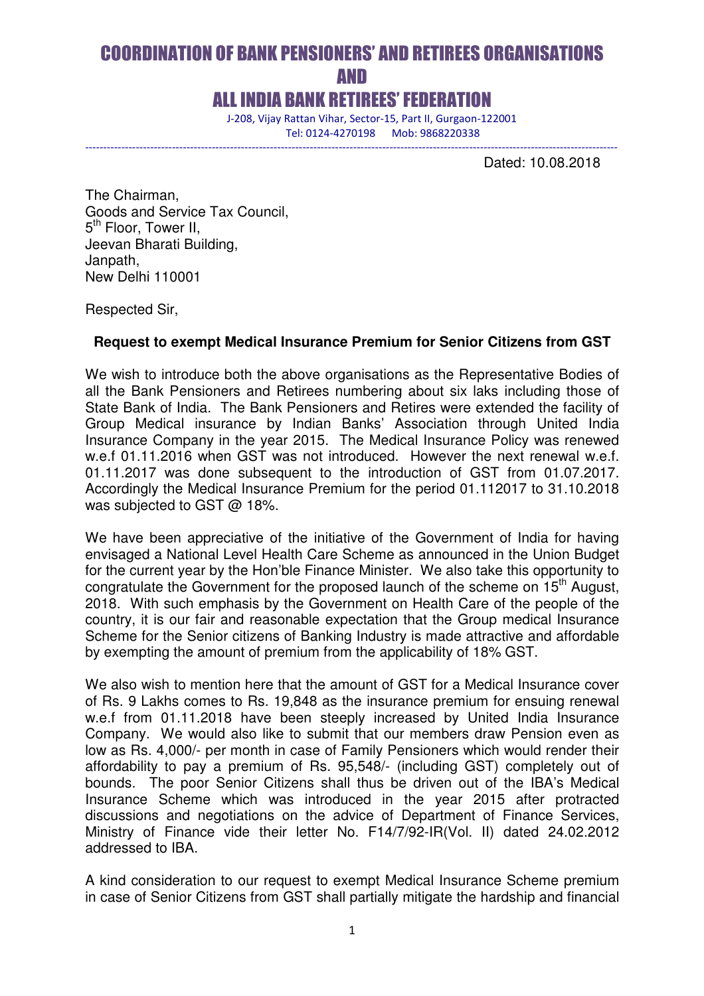# COORDINATION OF BANK PENSIONERS' AND RETIREES ORGANISATIONS *AND*

### ALL INDIA BANK RETIREES' FEDERATION

---------------------------------------------------------------------------------------------------------------------------------------------------

 J-208, Vijay Rattan Vihar, Sector-15, Part II, Gurgaon-122001 Tel: 0124-4270198 Mob: 9868220338

Dated: 10.08.2018

The Chairman, Goods and Service Tax Council, 5<sup>th</sup> Floor, Tower II, Jeevan Bharati Building, Janpath, New Delhi 110001

Respected Sir,

#### **Request to exempt Medical Insurance Premium for Senior Citizens from GST**

We wish to introduce both the above organisations as the Representative Bodies of all the Bank Pensioners and Retirees numbering about six laks including those of State Bank of India. The Bank Pensioners and Retires were extended the facility of Group Medical insurance by Indian Banks' Association through United India Insurance Company in the year 2015. The Medical Insurance Policy was renewed w.e.f 01.11.2016 when GST was not introduced. However the next renewal w.e.f. 01.11.2017 was done subsequent to the introduction of GST from 01.07.2017. Accordingly the Medical Insurance Premium for the period 01.112017 to 31.10.2018 was subjected to GST @ 18%.

We have been appreciative of the initiative of the Government of India for having envisaged a National Level Health Care Scheme as announced in the Union Budget for the current year by the Hon'ble Finance Minister. We also take this opportunity to congratulate the Government for the proposed launch of the scheme on 15<sup>th</sup> August, 2018. With such emphasis by the Government on Health Care of the people of the country, it is our fair and reasonable expectation that the Group medical Insurance Scheme for the Senior citizens of Banking Industry is made attractive and affordable by exempting the amount of premium from the applicability of 18% GST.

We also wish to mention here that the amount of GST for a Medical Insurance cover of Rs. 9 Lakhs comes to Rs. 19,848 as the insurance premium for ensuing renewal w.e.f from 01.11.2018 have been steeply increased by United India Insurance Company. We would also like to submit that our members draw Pension even as low as Rs. 4,000/- per month in case of Family Pensioners which would render their affordability to pay a premium of Rs. 95,548/- (including GST) completely out of bounds. The poor Senior Citizens shall thus be driven out of the IBA's Medical Insurance Scheme which was introduced in the year 2015 after protracted discussions and negotiations on the advice of Department of Finance Services, Ministry of Finance vide their letter No. F14/7/92-IR(Vol. II) dated 24.02.2012 addressed to IBA.

A kind consideration to our request to exempt Medical Insurance Scheme premium in case of Senior Citizens from GST shall partially mitigate the hardship and financial